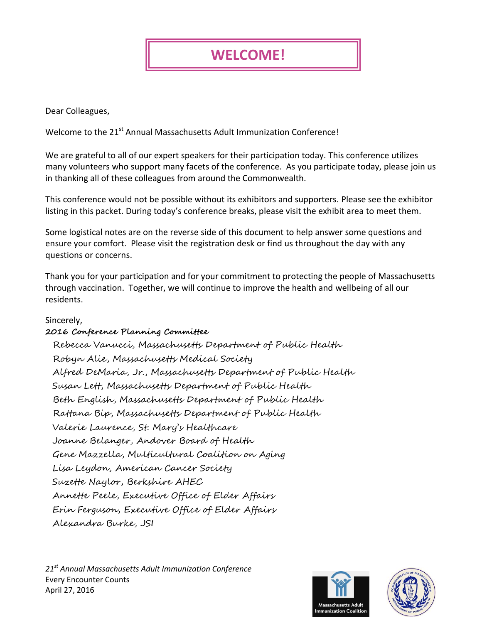## **WELCOME!**

Dear Colleagues,

Welcome to the 21<sup>st</sup> Annual Massachusetts Adult Immunization Conference!

We are grateful to all of our expert speakers for their participation today. This conference utilizes many volunteers who support many facets of the conference. As you participate today, please join us in thanking all of these colleagues from around the Commonwealth.

This conference would not be possible without its exhibitors and supporters. Please see the exhibitor listing in this packet. During today's conference breaks, please visit the exhibit area to meet them.

Some logistical notes are on the reverse side of this document to help answer some questions and ensure your comfort. Please visit the registration desk or find us throughout the day with any questions or concerns.

Thank you for your participation and for your commitment to protecting the people of Massachusetts through vaccination. Together, we will continue to improve the health and wellbeing of all our residents.

## Sincerely,

## **2016 Conference Planning Committee**

Rebecca Vanucci, Massachusetts Department of Public Health Robyn Alie, Massachusetts Medical Society Alfred DeMaria, Jr., Massachusetts Department of Public Health Susan Lett, Massachusetts Department of Public Health Beth English, Massachusetts Department of Public Health Rattana Bip, Massachusetts Department of Public Health Valerie Laurence, St. Mary's Healthcare Joanne Belanger, Andover Board of Health Gene Mazzella, Multicultural Coalition on Aging Lisa Leydon, American Cancer Society Suzette Naylor, Berkshire AHEC Annette Peele, Executive Office of Elder Affairs Erin Ferguson, Executive Office of Elder Affairs Alexandra Burke, JSI